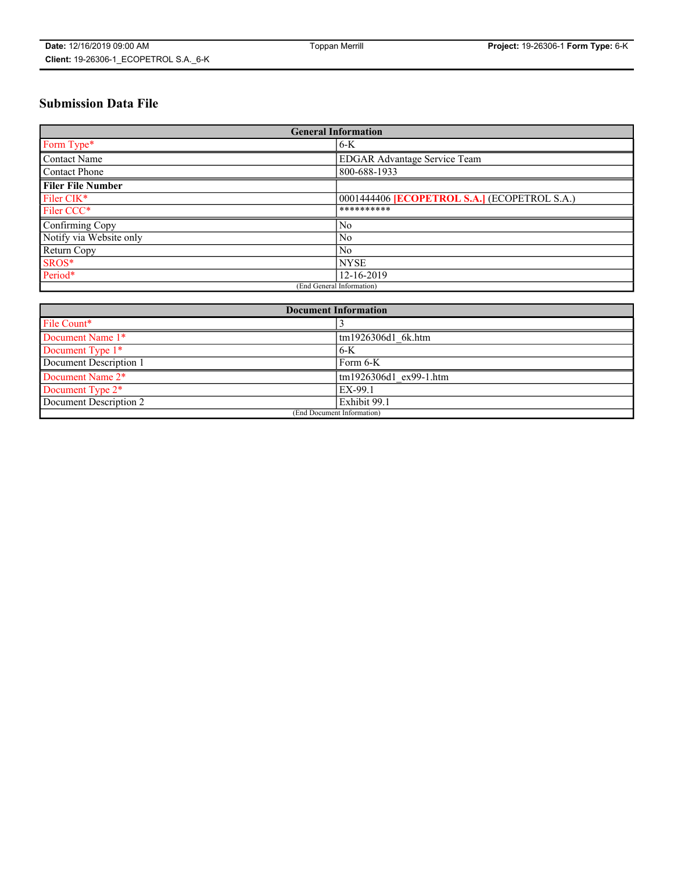# **Submission Data File**

| <b>General Information</b> |                                                     |  |
|----------------------------|-----------------------------------------------------|--|
| Form Type*                 | $6-K$                                               |  |
| Contact Name               | <b>EDGAR Advantage Service Team</b>                 |  |
| Contact Phone              | 800-688-1933                                        |  |
| <b>Filer File Number</b>   |                                                     |  |
| Filer CIK*                 | 0001444406 <b>[ECOPETROL S.A.]</b> (ECOPETROL S.A.) |  |
| Filer CCC*                 | **********                                          |  |
| Confirming Copy            | N <sub>0</sub>                                      |  |
| Notify via Website only    | N <sub>0</sub>                                      |  |
| Return Copy                | N <sub>0</sub>                                      |  |
| SROS*                      | <b>NYSE</b>                                         |  |
| Period*                    | 12-16-2019                                          |  |
| (End General Information)  |                                                     |  |

| <b>Document Information</b> |                        |  |
|-----------------------------|------------------------|--|
| File Count*                 |                        |  |
| Document Name 1*            | tm1926306d1 6k.htm     |  |
| Document Type 1*            | $6-K$                  |  |
| Document Description 1      | Form 6-K               |  |
| Document Name 2*            | tm1926306d1 ex99-1.htm |  |
| Document Type 2*            | EX-99.1                |  |
| Document Description 2      | Exhibit 99.1           |  |
| (End Document Information)  |                        |  |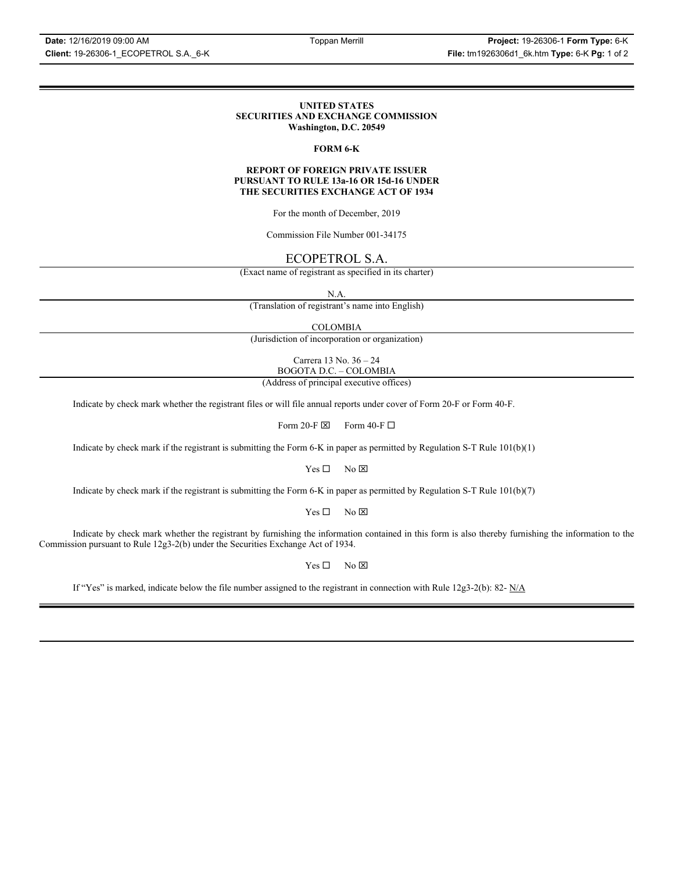### **UNITED STATES SECURITIES AND EXCHANGE COMMISSION Washington, D.C. 20549**

### **FORM 6-K**

### **REPORT OF FOREIGN PRIVATE ISSUER PURSUANT TO RULE 13a-16 OR 15d-16 UNDER THE SECURITIES EXCHANGE ACT OF 1934**

For the month of December, 2019

Commission File Number 001-34175

## ECOPETROL S.A.

(Exact name of registrant as specified in its charter)

N.A.

(Translation of registrant's name into English)

COLOMBIA

(Jurisdiction of incorporation or organization)

Carrera 13 No. 36 – 24 BOGOTA D.C. – COLOMBIA

(Address of principal executive offices)

Indicate by check mark whether the registrant files or will file annual reports under cover of Form 20-F or Form 40-F.

Form 20-F  $\boxtimes$  Form 40-F  $\Box$ 

Indicate by check mark if the registrant is submitting the Form 6-K in paper as permitted by Regulation S-T Rule 101(b)(1)

 $Yes \Box$  No  $\boxtimes$ 

Indicate by check mark if the registrant is submitting the Form 6-K in paper as permitted by Regulation S-T Rule 101(b)(7)

 $Yes \Box$  No  $\boxtimes$ 

Indicate by check mark whether the registrant by furnishing the information contained in this form is also thereby furnishing the information to the Commission pursuant to Rule 12g3-2(b) under the Securities Exchange Act of 1934.

 $Yes \Box$  No  $\boxtimes$ 

If "Yes" is marked, indicate below the file number assigned to the registrant in connection with Rule 12g3-2(b): 82- N/A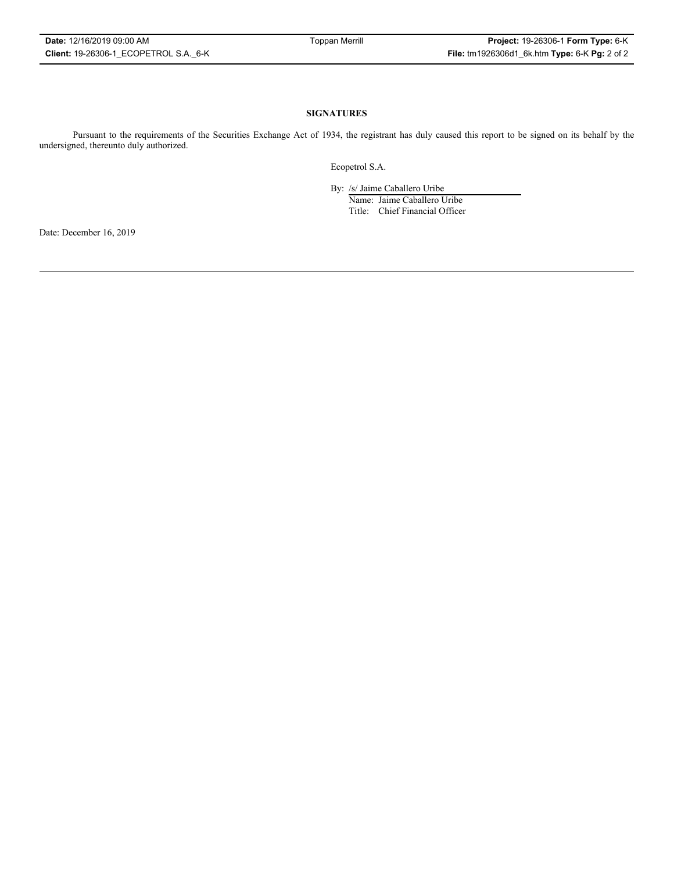### **SIGNATURES**

Pursuant to the requirements of the Securities Exchange Act of 1934, the registrant has duly caused this report to be signed on its behalf by the undersigned, thereunto duly authorized.

Ecopetrol S.A.

By: /s/ Jaime Caballero Uribe

Name: Jaime Caballero Uribe Title: Chief Financial Officer

Date: December 16, 2019